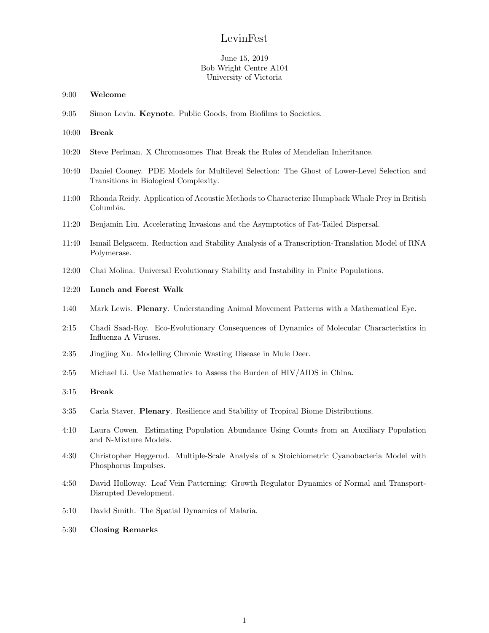# LevinFest

## June 15, 2019 Bob Wright Centre A104 University of Victoria

- 9:00 Welcome
- 9:05 Simon Levin. Keynote. Public Goods, from Biofilms to Societies.

#### 10:00 Break

- 10:20 Steve Perlman. X Chromosomes That Break the Rules of Mendelian Inheritance.
- 10:40 Daniel Cooney. PDE Models for Multilevel Selection: The Ghost of Lower-Level Selection and Transitions in Biological Complexity.
- 11:00 Rhonda Reidy. Application of Acoustic Methods to Characterize Humpback Whale Prey in British Columbia.
- 11:20 Benjamin Liu. Accelerating Invasions and the Asymptotics of Fat-Tailed Dispersal.
- 11:40 Ismail Belgacem. Reduction and Stability Analysis of a Transcription-Translation Model of RNA Polymerase.
- 12:00 Chai Molina. Universal Evolutionary Stability and Instability in Finite Populations.

## 12:20 Lunch and Forest Walk

- 1:40 Mark Lewis. Plenary. Understanding Animal Movement Patterns with a Mathematical Eye.
- 2:15 Chadi Saad-Roy. Eco-Evolutionary Consequences of Dynamics of Molecular Characteristics in Influenza A Viruses.
- 2:35 Jingjing Xu. Modelling Chronic Wasting Disease in Mule Deer.
- 2:55 Michael Li. Use Mathematics to Assess the Burden of HIV/AIDS in China.

#### 3:15 Break

- 3:35 Carla Staver. Plenary. Resilience and Stability of Tropical Biome Distributions.
- 4:10 Laura Cowen. Estimating Population Abundance Using Counts from an Auxiliary Population and N-Mixture Models.
- 4:30 Christopher Heggerud. Multiple-Scale Analysis of a Stoichiometric Cyanobacteria Model with Phosphorus Impulses.
- 4:50 David Holloway. Leaf Vein Patterning: Growth Regulator Dynamics of Normal and Transport-Disrupted Development.
- 5:10 David Smith. The Spatial Dynamics of Malaria.
- 5:30 Closing Remarks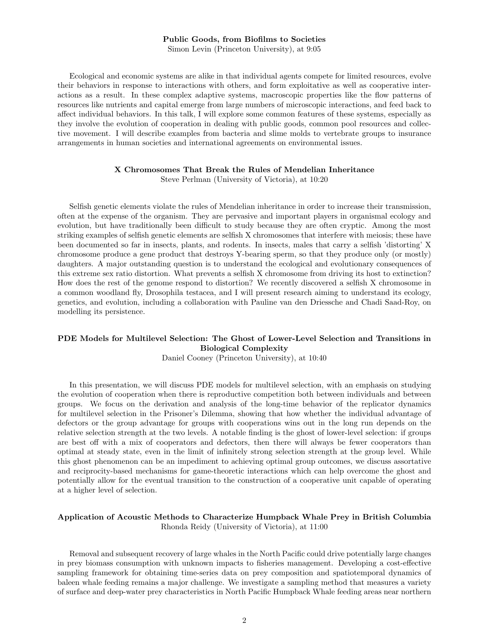#### Public Goods, from Biofilms to Societies

Simon Levin (Princeton University), at 9:05

Ecological and economic systems are alike in that individual agents compete for limited resources, evolve their behaviors in response to interactions with others, and form exploitative as well as cooperative interactions as a result. In these complex adaptive systems, macroscopic properties like the flow patterns of resources like nutrients and capital emerge from large numbers of microscopic interactions, and feed back to affect individual behaviors. In this talk, I will explore some common features of these systems, especially as they involve the evolution of cooperation in dealing with public goods, common pool resources and collective movement. I will describe examples from bacteria and slime molds to vertebrate groups to insurance arrangements in human societies and international agreements on environmental issues.

#### X Chromosomes That Break the Rules of Mendelian Inheritance

Steve Perlman (University of Victoria), at 10:20

Selfish genetic elements violate the rules of Mendelian inheritance in order to increase their transmission, often at the expense of the organism. They are pervasive and important players in organismal ecology and evolution, but have traditionally been difficult to study because they are often cryptic. Among the most striking examples of selfish genetic elements are selfish X chromosomes that interfere with meiosis; these have been documented so far in insects, plants, and rodents. In insects, males that carry a selfish 'distorting' X chromosome produce a gene product that destroys Y-bearing sperm, so that they produce only (or mostly) daughters. A major outstanding question is to understand the ecological and evolutionary consequences of this extreme sex ratio distortion. What prevents a selfish X chromosome from driving its host to extinction? How does the rest of the genome respond to distortion? We recently discovered a selfish X chromosome in a common woodland fly, Drosophila testacea, and I will present research aiming to understand its ecology, genetics, and evolution, including a collaboration with Pauline van den Driessche and Chadi Saad-Roy, on modelling its persistence.

## PDE Models for Multilevel Selection: The Ghost of Lower-Level Selection and Transitions in Biological Complexity

Daniel Cooney (Princeton University), at 10:40

In this presentation, we will discuss PDE models for multilevel selection, with an emphasis on studying the evolution of cooperation when there is reproductive competition both between individuals and between groups. We focus on the derivation and analysis of the long-time behavior of the replicator dynamics for multilevel selection in the Prisoner's Dilemma, showing that how whether the individual advantage of defectors or the group advantage for groups with cooperations wins out in the long run depends on the relative selection strength at the two levels. A notable finding is the ghost of lower-level selection: if groups are best off with a mix of cooperators and defectors, then there will always be fewer cooperators than optimal at steady state, even in the limit of infinitely strong selection strength at the group level. While this ghost phenomenon can be an impediment to achieving optimal group outcomes, we discuss assortative and reciprocity-based mechanisms for game-theoretic interactions which can help overcome the ghost and potentially allow for the eventual transition to the construction of a cooperative unit capable of operating at a higher level of selection.

#### Application of Acoustic Methods to Characterize Humpback Whale Prey in British Columbia Rhonda Reidy (University of Victoria), at 11:00

Removal and subsequent recovery of large whales in the North Pacific could drive potentially large changes in prey biomass consumption with unknown impacts to fisheries management. Developing a cost-effective sampling framework for obtaining time-series data on prey composition and spatiotemporal dynamics of baleen whale feeding remains a major challenge. We investigate a sampling method that measures a variety of surface and deep-water prey characteristics in North Pacific Humpback Whale feeding areas near northern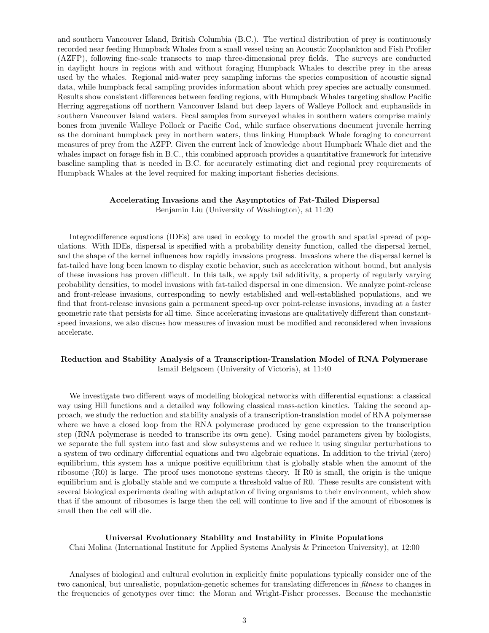and southern Vancouver Island, British Columbia (B.C.). The vertical distribution of prey is continuously recorded near feeding Humpback Whales from a small vessel using an Acoustic Zooplankton and Fish Profiler (AZFP), following fine-scale transects to map three-dimensional prey fields. The surveys are conducted in daylight hours in regions with and without foraging Humpback Whales to describe prey in the areas used by the whales. Regional mid-water prey sampling informs the species composition of acoustic signal data, while humpback fecal sampling provides information about which prey species are actually consumed. Results show consistent differences between feeding regions, with Humpback Whales targeting shallow Pacific Herring aggregations off northern Vancouver Island but deep layers of Walleye Pollock and euphausiids in southern Vancouver Island waters. Fecal samples from surveyed whales in southern waters comprise mainly bones from juvenile Walleye Pollock or Pacific Cod, while surface observations document juvenile herring as the dominant humpback prey in northern waters, thus linking Humpback Whale foraging to concurrent measures of prey from the AZFP. Given the current lack of knowledge about Humpback Whale diet and the whales impact on forage fish in B.C., this combined approach provides a quantitative framework for intensive baseline sampling that is needed in B.C. for accurately estimating diet and regional prey requirements of Humpback Whales at the level required for making important fisheries decisions.

#### Accelerating Invasions and the Asymptotics of Fat-Tailed Dispersal

Benjamin Liu (University of Washington), at 11:20

Integrodifference equations (IDEs) are used in ecology to model the growth and spatial spread of populations. With IDEs, dispersal is specified with a probability density function, called the dispersal kernel, and the shape of the kernel influences how rapidly invasions progress. Invasions where the dispersal kernel is fat-tailed have long been known to display exotic behavior, such as acceleration without bound, but analysis of these invasions has proven difficult. In this talk, we apply tail additivity, a property of regularly varying probability densities, to model invasions with fat-tailed dispersal in one dimension. We analyze point-release and front-release invasions, corresponding to newly established and well-established populations, and we find that front-release invasions gain a permanent speed-up over point-release invasions, invading at a faster geometric rate that persists for all time. Since accelerating invasions are qualitatively different than constantspeed invasions, we also discuss how measures of invasion must be modified and reconsidered when invasions accelerate.

## Reduction and Stability Analysis of a Transcription-Translation Model of RNA Polymerase Ismail Belgacem (University of Victoria), at 11:40

We investigate two different ways of modelling biological networks with differential equations: a classical way using Hill functions and a detailed way following classical mass-action kinetics. Taking the second approach, we study the reduction and stability analysis of a transcription-translation model of RNA polymerase where we have a closed loop from the RNA polymerase produced by gene expression to the transcription step (RNA polymerase is needed to transcribe its own gene). Using model parameters given by biologists, we separate the full system into fast and slow subsystems and we reduce it using singular perturbations to a system of two ordinary differential equations and two algebraic equations. In addition to the trivial (zero) equilibrium, this system has a unique positive equilibrium that is globally stable when the amount of the ribosome (R0) is large. The proof uses monotone systems theory. If R0 is small, the origin is the unique equilibrium and is globally stable and we compute a threshold value of R0. These results are consistent with several biological experiments dealing with adaptation of living organisms to their environment, which show that if the amount of ribosomes is large then the cell will continue to live and if the amount of ribosomes is small then the cell will die.

#### Universal Evolutionary Stability and Instability in Finite Populations

Chai Molina (International Institute for Applied Systems Analysis & Princeton University), at 12:00

Analyses of biological and cultural evolution in explicitly finite populations typically consider one of the two canonical, but unrealistic, population-genetic schemes for translating differences in fitness to changes in the frequencies of genotypes over time: the Moran and Wright-Fisher processes. Because the mechanistic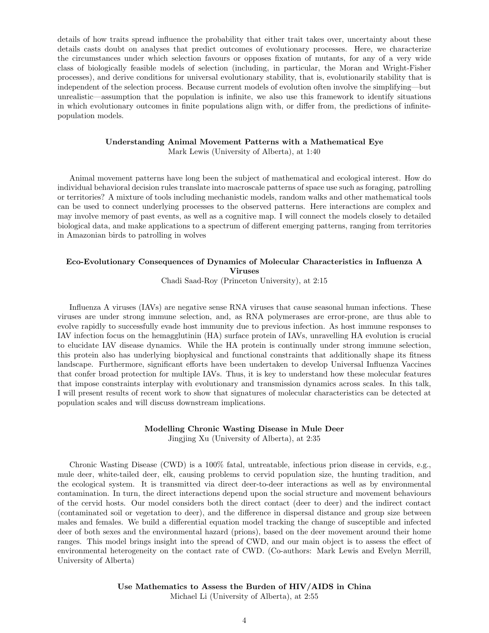details of how traits spread influence the probability that either trait takes over, uncertainty about these details casts doubt on analyses that predict outcomes of evolutionary processes. Here, we characterize the circumstances under which selection favours or opposes fixation of mutants, for any of a very wide class of biologically feasible models of selection (including, in particular, the Moran and Wright-Fisher processes), and derive conditions for universal evolutionary stability, that is, evolutionarily stability that is independent of the selection process. Because current models of evolution often involve the simplifying—but unrealistic—assumption that the population is infinite, we also use this framework to identify situations in which evolutionary outcomes in finite populations align with, or differ from, the predictions of infinitepopulation models.

#### Understanding Animal Movement Patterns with a Mathematical Eye

Mark Lewis (University of Alberta), at 1:40

Animal movement patterns have long been the subject of mathematical and ecological interest. How do individual behavioral decision rules translate into macroscale patterns of space use such as foraging, patrolling or territories? A mixture of tools including mechanistic models, random walks and other mathematical tools can be used to connect underlying processes to the observed patterns. Here interactions are complex and may involve memory of past events, as well as a cognitive map. I will connect the models closely to detailed biological data, and make applications to a spectrum of different emerging patterns, ranging from territories in Amazonian birds to patrolling in wolves

# Eco-Evolutionary Consequences of Dynamics of Molecular Characteristics in Influenza A Viruses

Chadi Saad-Roy (Princeton University), at 2:15

Influenza A viruses (IAVs) are negative sense RNA viruses that cause seasonal human infections. These viruses are under strong immune selection, and, as RNA polymerases are error-prone, are thus able to evolve rapidly to successfully evade host immunity due to previous infection. As host immune responses to IAV infection focus on the hemagglutinin (HA) surface protein of IAVs, unravelling HA evolution is crucial to elucidate IAV disease dynamics. While the HA protein is continually under strong immune selection, this protein also has underlying biophysical and functional constraints that additionally shape its fitness landscape. Furthermore, significant efforts have been undertaken to develop Universal Influenza Vaccines that confer broad protection for multiple IAVs. Thus, it is key to understand how these molecular features that impose constraints interplay with evolutionary and transmission dynamics across scales. In this talk, I will present results of recent work to show that signatures of molecular characteristics can be detected at population scales and will discuss downstream implications.

#### Modelling Chronic Wasting Disease in Mule Deer

Jingjing Xu (University of Alberta), at 2:35

Chronic Wasting Disease (CWD) is a 100% fatal, untreatable, infectious prion disease in cervids, e.g., mule deer, white-tailed deer, elk, causing problems to cervid population size, the hunting tradition, and the ecological system. It is transmitted via direct deer-to-deer interactions as well as by environmental contamination. In turn, the direct interactions depend upon the social structure and movement behaviours of the cervid hosts. Our model considers both the direct contact (deer to deer) and the indirect contact (contaminated soil or vegetation to deer), and the difference in dispersal distance and group size between males and females. We build a differential equation model tracking the change of susceptible and infected deer of both sexes and the environmental hazard (prions), based on the deer movement around their home ranges. This model brings insight into the spread of CWD, and our main object is to assess the effect of environmental heterogeneity on the contact rate of CWD. (Co-authors: Mark Lewis and Evelyn Merrill, University of Alberta)

# Use Mathematics to Assess the Burden of HIV/AIDS in China

Michael Li (University of Alberta), at 2:55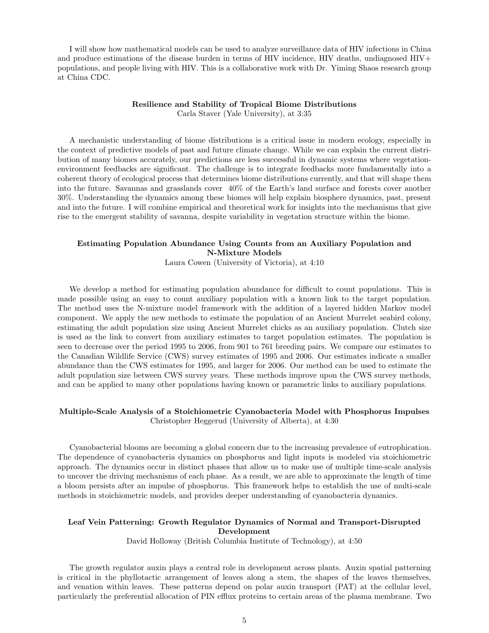I will show how mathematical models can be used to analyze surveillance data of HIV infections in China and produce estimations of the disease burden in terms of HIV incidence, HIV deaths, undiagnosed HIV+ populations, and people living with HIV. This is a collaborative work with Dr. Yiming Shaos research group at China CDC.

# Resilience and Stability of Tropical Biome Distributions

Carla Staver (Yale University), at 3:35

A mechanistic understanding of biome distributions is a critical issue in modern ecology, especially in the context of predictive models of past and future climate change. While we can explain the current distribution of many biomes accurately, our predictions are less successful in dynamic systems where vegetationenvironment feedbacks are significant. The challenge is to integrate feedbacks more fundamentally into a coherent theory of ecological process that determines biome distributions currently, and that will shape them into the future. Savannas and grasslands cover 40% of the Earth's land surface and forests cover another 30%. Understanding the dynamics among these biomes will help explain biosphere dynamics, past, present and into the future. I will combine empirical and theoretical work for insights into the mechanisms that give rise to the emergent stability of savanna, despite variability in vegetation structure within the biome.

# Estimating Population Abundance Using Counts from an Auxiliary Population and N-Mixture Models

Laura Cowen (University of Victoria), at 4:10

We develop a method for estimating population abundance for difficult to count populations. This is made possible using an easy to count auxiliary population with a known link to the target population. The method uses the N-mixture model framework with the addition of a layered hidden Markov model component. We apply the new methods to estimate the population of an Ancient Murrelet seabird colony, estimating the adult population size using Ancient Murrelet chicks as an auxiliary population. Clutch size is used as the link to convert from auxiliary estimates to target population estimates. The population is seen to decrease over the period 1995 to 2006, from 901 to 761 breeding pairs. We compare our estimates to the Canadian Wildlife Service (CWS) survey estimates of 1995 and 2006. Our estimates indicate a smaller abundance than the CWS estimates for 1995, and larger for 2006. Our method can be used to estimate the adult population size between CWS survey years. These methods improve upon the CWS survey methods, and can be applied to many other populations having known or parametric links to auxiliary populations.

## Multiple-Scale Analysis of a Stoichiometric Cyanobacteria Model with Phosphorus Impulses Christopher Heggerud (University of Alberta), at 4:30

Cyanobacterial blooms are becoming a global concern due to the increasing prevalence of eutrophication. The dependence of cyanobacteria dynamics on phosphorus and light inputs is modeled via stoichiometric approach. The dynamics occur in distinct phases that allow us to make use of multiple time-scale analysis to uncover the driving mechanisms of each phase. As a result, we are able to approximate the length of time a bloom persists after an impulse of phosphorus. This framework helps to establish the use of multi-scale methods in stoichiometric models, and provides deeper understanding of cyanobacteria dynamics.

## Leaf Vein Patterning: Growth Regulator Dynamics of Normal and Transport-Disrupted Development

David Holloway (British Columbia Institute of Technology), at 4:50

The growth regulator auxin plays a central role in development across plants. Auxin spatial patterning is critical in the phyllotactic arrangement of leaves along a stem, the shapes of the leaves themselves, and venation within leaves. These patterns depend on polar auxin transport (PAT) at the cellular level, particularly the preferential allocation of PIN efflux proteins to certain areas of the plasma membrane. Two